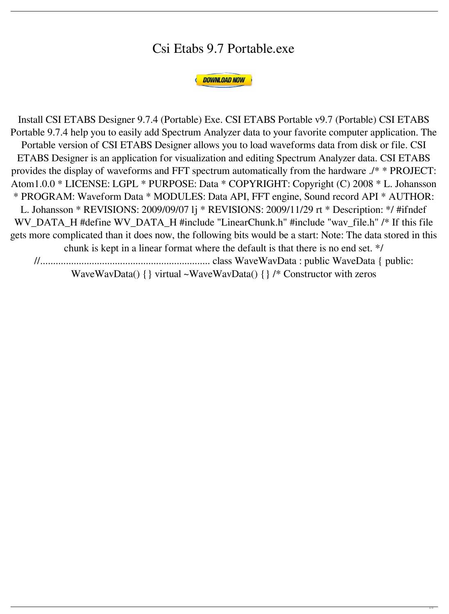## Csi Etabs 9.7 Portable.exe



gets more complicated than it does now, the following bits would be a start: Note: The data stored in this chunk is kept in a linear format where the default is that there is no end set. \*/ //.................................................................. class WaveWavData : public WaveData { public: WaveWavData()  $\{\}$  virtual ~WaveWavData()  $\{\}$  /\* Constructor with zeros

Install CSI ETABS Designer 9.7.4 (Portable) Exe. CSI ETABS Portable v9.7 (Portable) CSI ETABS Portable 9.7.4 help you to easily add Spectrum Analyzer data to your favorite computer application. The Portable version of CSI ETABS Designer allows you to load waveforms data from disk or file. CSI ETABS Designer is an application for visualization and editing Spectrum Analyzer data. CSI ETABS provides the display of waveforms and FFT spectrum automatically from the hardware ./\* \* PROJECT: Atom1.0.0 \* LICENSE: LGPL \* PURPOSE: Data \* COPYRIGHT: Copyright (C) 2008 \* L. Johansson \* PROGRAM: Waveform Data \* MODULES: Data API, FFT engine, Sound record API \* AUTHOR: L. Johansson \* REVISIONS: 2009/09/07 lj \* REVISIONS: 2009/11/29 rt \* Description: \*/ #ifndef WV\_DATA\_H #define WV\_DATA\_H #include "LinearChunk.h" #include "wav\_file.h" /\* If this file